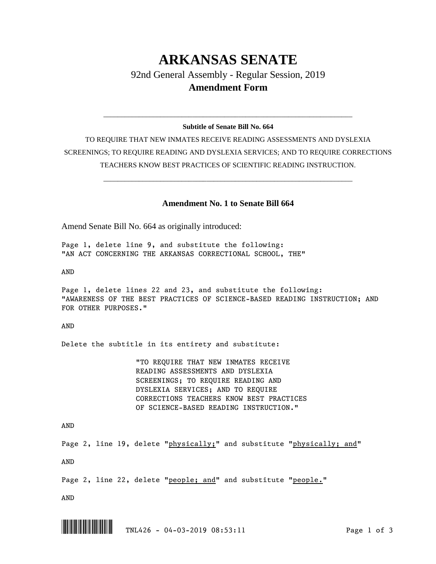# **ARKANSAS SENATE**

## 92nd General Assembly - Regular Session, 2019 **Amendment Form**

### \_\_\_\_\_\_\_\_\_\_\_\_\_\_\_\_\_\_\_\_\_\_\_\_\_\_\_\_\_\_\_\_\_\_\_\_\_\_\_\_\_\_\_\_\_\_\_\_\_\_\_\_\_\_\_\_\_\_\_\_\_\_\_\_\_\_\_\_\_\_ **Subtitle of Senate Bill No. 664**

TO REQUIRE THAT NEW INMATES RECEIVE READING ASSESSMENTS AND DYSLEXIA SCREENINGS; TO REQUIRE READING AND DYSLEXIA SERVICES; AND TO REQUIRE CORRECTIONS TEACHERS KNOW BEST PRACTICES OF SCIENTIFIC READING INSTRUCTION.

\_\_\_\_\_\_\_\_\_\_\_\_\_\_\_\_\_\_\_\_\_\_\_\_\_\_\_\_\_\_\_\_\_\_\_\_\_\_\_\_\_\_\_\_\_\_\_\_\_\_\_\_\_\_\_\_\_\_\_\_\_\_\_\_\_\_\_\_\_\_

#### **Amendment No. 1 to Senate Bill 664**

Amend Senate Bill No. 664 as originally introduced:

Page 1, delete line 9, and substitute the following: "AN ACT CONCERNING THE ARKANSAS CORRECTIONAL SCHOOL, THE"

AND

Page 1, delete lines 22 and 23, and substitute the following: "AWARENESS OF THE BEST PRACTICES OF SCIENCE-BASED READING INSTRUCTION; AND FOR OTHER PURPOSES."

#### AND

Delete the subtitle in its entirety and substitute:

"TO REQUIRE THAT NEW INMATES RECEIVE READING ASSESSMENTS AND DYSLEXIA SCREENINGS; TO REQUIRE READING AND DYSLEXIA SERVICES; AND TO REQUIRE CORRECTIONS TEACHERS KNOW BEST PRACTICES OF SCIENCE-BASED READING INSTRUCTION."

AND

Page 2, line 19, delete "physically;" and substitute "physically; and"

AND

Page 2, line 22, delete "people; and" and substitute "people."

AND

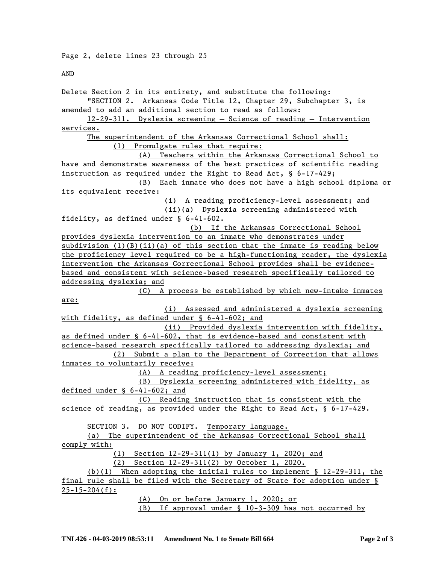Page 2, delete lines 23 through 25

#### AND

Delete Section 2 in its entirety, and substitute the following: "SECTION 2. Arkansas Code Title 12, Chapter 29, Subchapter 3, is amended to add an additional section to read as follows: 12-29-311. Dyslexia screening — Science of reading — Intervention services. The superintendent of the Arkansas Correctional School shall: (1) Promulgate rules that require: (A) Teachers within the Arkansas Correctional School to have and demonstrate awareness of the best practices of scientific reading instruction as required under the Right to Read Act, § 6-17-429; (B) Each inmate who does not have a high school diploma or its equivalent receive: (i) A reading proficiency-level assessment; and (ii)(a) Dyslexia screening administered with fidelity, as defined under § 6-41-602. (b) If the Arkansas Correctional School provides dyslexia intervention to an inmate who demonstrates under subdivision  $(1)(B)(ii)(a)$  of this section that the inmate is reading below the proficiency level required to be a high-functioning reader, the dyslexia intervention the Arkansas Correctional School provides shall be evidencebased and consistent with science-based research specifically tailored to addressing dyslexia; and (C) A process be established by which new-intake inmates are: (i) Assessed and administered a dyslexia screening with fidelity, as defined under § 6-41-602; and (ii) Provided dyslexia intervention with fidelity, as defined under § 6-41-602, that is evidence-based and consistent with science-based research specifically tailored to addressing dyslexia; and (2) Submit a plan to the Department of Correction that allows inmates to voluntarily receive: (A) A reading proficiency-level assessment; (B) Dyslexia screening administered with fidelity, as defined under § 6-41-602; and (C) Reading instruction that is consistent with the science of reading, as provided under the Right to Read Act, § 6-17-429. SECTION 3. DO NOT CODIFY. Temporary language. (a) The superintendent of the Arkansas Correctional School shall comply with: (1) Section 12-29-311(1) by January 1, 2020; and (2) Section 12-29-311(2) by October 1, 2020. (b)(1) When adopting the initial rules to implement § 12-29-311, the final rule shall be filed with the Secretary of State for adoption under §  $25 - 15 - 204(f):$ (A) On or before January 1, 2020; or

(B) If approval under § 10-3-309 has not occurred by